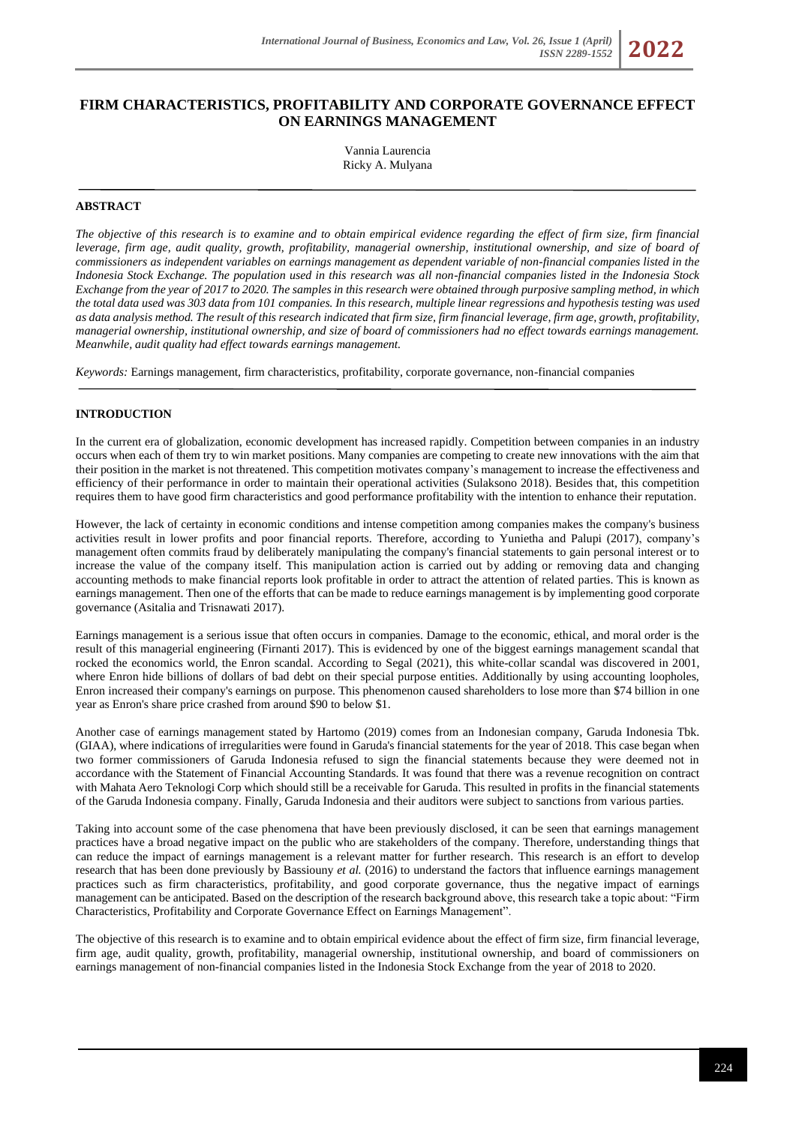*ISSN 2289-1552* **2022**

# **FIRM CHARACTERISTICS, PROFITABILITY AND CORPORATE GOVERNANCE EFFECT ON EARNINGS MANAGEMENT**

Vannia Laurencia Ricky A. Mulyana

## **ABSTRACT**

*The objective of this research is to examine and to obtain empirical evidence regarding the effect of firm size, firm financial leverage, firm age, audit quality, growth, profitability, managerial ownership, institutional ownership, and size of board of commissioners as independent variables on earnings management as dependent variable of non-financial companies listed in the Indonesia Stock Exchange. The population used in this research was all non-financial companies listed in the Indonesia Stock Exchange from the year of 2017 to 2020. The samples in this research were obtained through purposive sampling method, in which the total data used was 303 data from 101 companies. In this research, multiple linear regressions and hypothesis testing was used as data analysis method. The result of this research indicated that firm size, firm financial leverage, firm age, growth, profitability, managerial ownership, institutional ownership, and size of board of commissioners had no effect towards earnings management. Meanwhile, audit quality had effect towards earnings management.*

*Keywords:* Earnings management, firm characteristics, profitability, corporate governance, non-financial companies

#### **INTRODUCTION**

In the current era of globalization, economic development has increased rapidly. Competition between companies in an industry occurs when each of them try to win market positions. Many companies are competing to create new innovations with the aim that their position in the market is not threatened. This competition motivates company's management to increase the effectiveness and efficiency of their performance in order to maintain their operational activities (Sulaksono 2018). Besides that, this competition requires them to have good firm characteristics and good performance profitability with the intention to enhance their reputation.

However, the lack of certainty in economic conditions and intense competition among companies makes the company's business activities result in lower profits and poor financial reports. Therefore, according to Yunietha and Palupi (2017), company's management often commits fraud by deliberately manipulating the company's financial statements to gain personal interest or to increase the value of the company itself. This manipulation action is carried out by adding or removing data and changing accounting methods to make financial reports look profitable in order to attract the attention of related parties. This is known as earnings management. Then one of the efforts that can be made to reduce earnings management is by implementing good corporate governance (Asitalia and Trisnawati 2017).

Earnings management is a serious issue that often occurs in companies. Damage to the economic, ethical, and moral order is the result of this managerial engineering (Firnanti 2017). This is evidenced by one of the biggest earnings management scandal that rocked the economics world, the Enron scandal. According to Segal (2021), this white-collar scandal was discovered in 2001, where Enron hide billions of dollars of bad debt on their special purpose entities. Additionally by using accounting loopholes, Enron increased their company's earnings on purpose. This phenomenon caused shareholders to lose more than \$74 billion in one year as Enron's share price crashed from around \$90 to below \$1.

Another case of earnings management stated by Hartomo (2019) comes from an Indonesian company, Garuda Indonesia Tbk. (GIAA), where indications of irregularities were found in Garuda's financial statements for the year of 2018. This case began when two former commissioners of Garuda Indonesia refused to sign the financial statements because they were deemed not in accordance with the Statement of Financial Accounting Standards. It was found that there was a revenue recognition on contract with Mahata Aero Teknologi Corp which should still be a receivable for Garuda. This resulted in profits in the financial statements of the Garuda Indonesia company. Finally, Garuda Indonesia and their auditors were subject to sanctions from various parties.

Taking into account some of the case phenomena that have been previously disclosed, it can be seen that earnings management practices have a broad negative impact on the public who are stakeholders of the company. Therefore, understanding things that can reduce the impact of earnings management is a relevant matter for further research. This research is an effort to develop research that has been done previously by Bassiouny *et al.* (2016) to understand the factors that influence earnings management practices such as firm characteristics, profitability, and good corporate governance, thus the negative impact of earnings management can be anticipated. Based on the description of the research background above, this research take a topic about: "Firm Characteristics, Profitability and Corporate Governance Effect on Earnings Management".

The objective of this research is to examine and to obtain empirical evidence about the effect of firm size, firm financial leverage, firm age, audit quality, growth, profitability, managerial ownership, institutional ownership, and board of commissioners on earnings management of non-financial companies listed in the Indonesia Stock Exchange from the year of 2018 to 2020.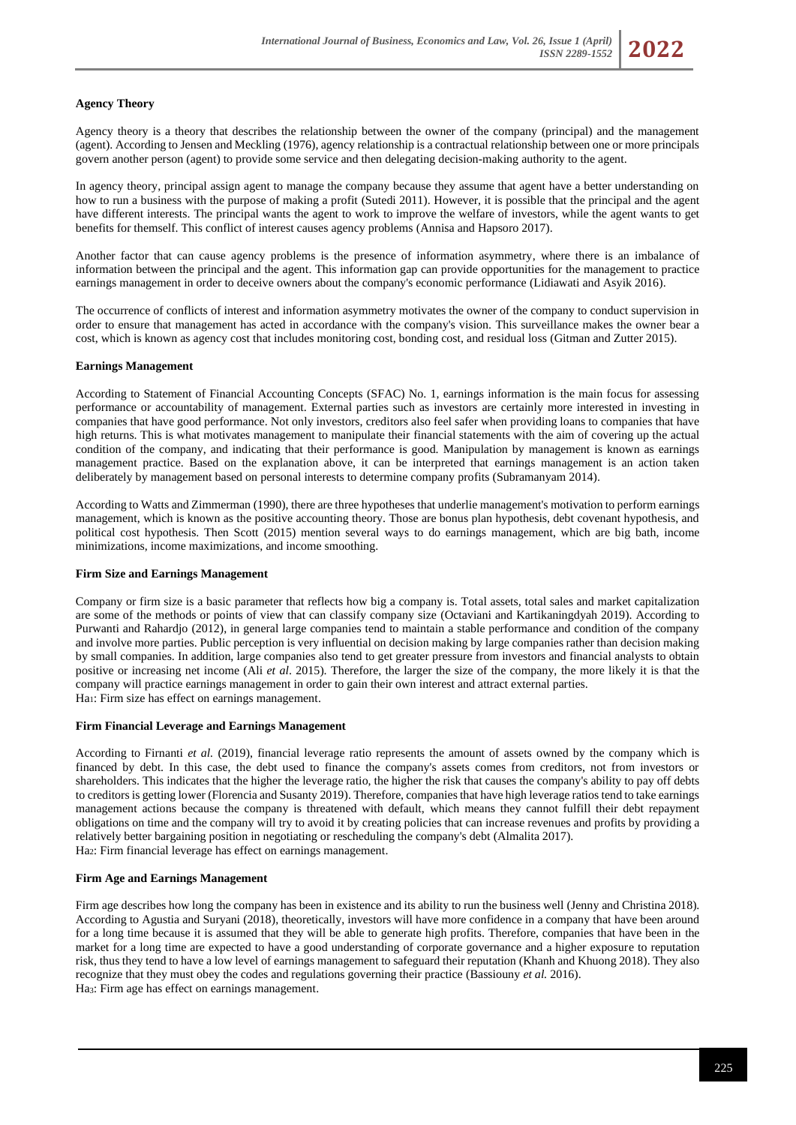## **Agency Theory**

Agency theory is a theory that describes the relationship between the owner of the company (principal) and the management (agent). According to Jensen and Meckling (1976), agency relationship is a contractual relationship between one or more principals govern another person (agent) to provide some service and then delegating decision-making authority to the agent.

In agency theory, principal assign agent to manage the company because they assume that agent have a better understanding on how to run a business with the purpose of making a profit (Sutedi 2011). However, it is possible that the principal and the agent have different interests. The principal wants the agent to work to improve the welfare of investors, while the agent wants to get benefits for themself. This conflict of interest causes agency problems (Annisa and Hapsoro 2017).

Another factor that can cause agency problems is the presence of information asymmetry, where there is an imbalance of information between the principal and the agent. This information gap can provide opportunities for the management to practice earnings management in order to deceive owners about the company's economic performance (Lidiawati and Asyik 2016).

The occurrence of conflicts of interest and information asymmetry motivates the owner of the company to conduct supervision in order to ensure that management has acted in accordance with the company's vision. This surveillance makes the owner bear a cost, which is known as agency cost that includes monitoring cost, bonding cost, and residual loss (Gitman and Zutter 2015).

#### **Earnings Management**

According to Statement of Financial Accounting Concepts (SFAC) No. 1, earnings information is the main focus for assessing performance or accountability of management. External parties such as investors are certainly more interested in investing in companies that have good performance. Not only investors, creditors also feel safer when providing loans to companies that have high returns. This is what motivates management to manipulate their financial statements with the aim of covering up the actual condition of the company, and indicating that their performance is good. Manipulation by management is known as earnings management practice. Based on the explanation above, it can be interpreted that earnings management is an action taken deliberately by management based on personal interests to determine company profits (Subramanyam 2014).

According to Watts and Zimmerman (1990), there are three hypotheses that underlie management's motivation to perform earnings management, which is known as the positive accounting theory. Those are bonus plan hypothesis, debt covenant hypothesis, and political cost hypothesis. Then Scott (2015) mention several ways to do earnings management, which are big bath, income minimizations, income maximizations, and income smoothing.

#### **Firm Size and Earnings Management**

Company or firm size is a basic parameter that reflects how big a company is. Total assets, total sales and market capitalization are some of the methods or points of view that can classify company size (Octaviani and Kartikaningdyah 2019). According to Purwanti and Rahardjo (2012), in general large companies tend to maintain a stable performance and condition of the company and involve more parties. Public perception is very influential on decision making by large companies rather than decision making by small companies. In addition, large companies also tend to get greater pressure from investors and financial analysts to obtain positive or increasing net income (Ali *et al*. 2015). Therefore, the larger the size of the company, the more likely it is that the company will practice earnings management in order to gain their own interest and attract external parties. Ha<sub>1</sub>: Firm size has effect on earnings management.

#### **Firm Financial Leverage and Earnings Management**

According to Firnanti *et al.* (2019), financial leverage ratio represents the amount of assets owned by the company which is financed by debt. In this case, the debt used to finance the company's assets comes from creditors, not from investors or shareholders. This indicates that the higher the leverage ratio, the higher the risk that causes the company's ability to pay off debts to creditors is getting lower (Florencia and Susanty 2019). Therefore, companies that have high leverage ratios tend to take earnings management actions because the company is threatened with default, which means they cannot fulfill their debt repayment obligations on time and the company will try to avoid it by creating policies that can increase revenues and profits by providing a relatively better bargaining position in negotiating or rescheduling the company's debt (Almalita 2017). Ha2: Firm financial leverage has effect on earnings management.

#### **Firm Age and Earnings Management**

Firm age describes how long the company has been in existence and its ability to run the business well (Jenny and Christina 2018). According to Agustia and Suryani (2018), theoretically, investors will have more confidence in a company that have been around for a long time because it is assumed that they will be able to generate high profits. Therefore, companies that have been in the market for a long time are expected to have a good understanding of corporate governance and a higher exposure to reputation risk, thus they tend to have a low level of earnings management to safeguard their reputation (Khanh and Khuong 2018). They also recognize that they must obey the codes and regulations governing their practice (Bassiouny *et al.* 2016). Ha3: Firm age has effect on earnings management.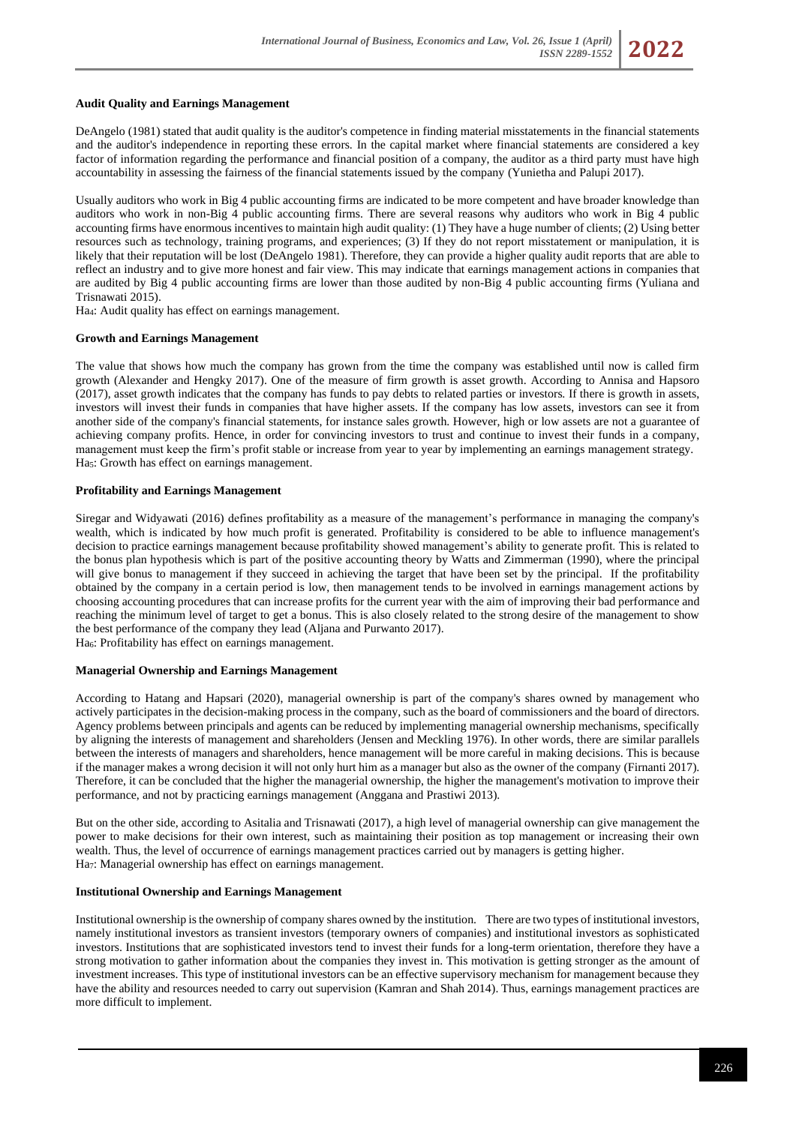#### **Audit Quality and Earnings Management**

DeAngelo (1981) stated that audit quality is the auditor's competence in finding material misstatements in the financial statements and the auditor's independence in reporting these errors. In the capital market where financial statements are considered a key factor of information regarding the performance and financial position of a company, the auditor as a third party must have high accountability in assessing the fairness of the financial statements issued by the company (Yunietha and Palupi 2017).

Usually auditors who work in Big 4 public accounting firms are indicated to be more competent and have broader knowledge than auditors who work in non-Big 4 public accounting firms. There are several reasons why auditors who work in Big 4 public accounting firms have enormous incentives to maintain high audit quality: (1) They have a huge number of clients; (2) Using better resources such as technology, training programs, and experiences; (3) If they do not report misstatement or manipulation, it is likely that their reputation will be lost (DeAngelo 1981). Therefore, they can provide a higher quality audit reports that are able to reflect an industry and to give more honest and fair view. This may indicate that earnings management actions in companies that are audited by Big 4 public accounting firms are lower than those audited by non-Big 4 public accounting firms (Yuliana and Trisnawati 2015).

Ha4: Audit quality has effect on earnings management.

### **Growth and Earnings Management**

The value that shows how much the company has grown from the time the company was established until now is called firm growth (Alexander and Hengky 2017). One of the measure of firm growth is asset growth. According to Annisa and Hapsoro (2017), asset growth indicates that the company has funds to pay debts to related parties or investors. If there is growth in assets, investors will invest their funds in companies that have higher assets. If the company has low assets, investors can see it from another side of the company's financial statements, for instance sales growth. However, high or low assets are not a guarantee of achieving company profits. Hence, in order for convincing investors to trust and continue to invest their funds in a company, management must keep the firm's profit stable or increase from year to year by implementing an earnings management strategy. Ha<sub>5</sub>: Growth has effect on earnings management.

### **Profitability and Earnings Management**

Siregar and Widyawati (2016) defines profitability as a measure of the management's performance in managing the company's wealth, which is indicated by how much profit is generated. Profitability is considered to be able to influence management's decision to practice earnings management because profitability showed management's ability to generate profit. This is related to the bonus plan hypothesis which is part of the positive accounting theory by Watts and Zimmerman (1990), where the principal will give bonus to management if they succeed in achieving the target that have been set by the principal. If the profitability obtained by the company in a certain period is low, then management tends to be involved in earnings management actions by choosing accounting procedures that can increase profits for the current year with the aim of improving their bad performance and reaching the minimum level of target to get a bonus. This is also closely related to the strong desire of the management to show the best performance of the company they lead (Aljana and Purwanto 2017).

Ha<sub>6</sub>: Profitability has effect on earnings management.

#### **Managerial Ownership and Earnings Management**

According to Hatang and Hapsari (2020), managerial ownership is part of the company's shares owned by management who actively participates in the decision-making process in the company, such as the board of commissioners and the board of directors. Agency problems between principals and agents can be reduced by implementing managerial ownership mechanisms, specifically by aligning the interests of management and shareholders (Jensen and Meckling 1976). In other words, there are similar parallels between the interests of managers and shareholders, hence management will be more careful in making decisions. This is because if the manager makes a wrong decision it will not only hurt him as a manager but also as the owner of the company (Firnanti 2017). Therefore, it can be concluded that the higher the managerial ownership, the higher the management's motivation to improve their performance, and not by practicing earnings management (Anggana and Prastiwi 2013).

But on the other side, according to Asitalia and Trisnawati (2017), a high level of managerial ownership can give management the power to make decisions for their own interest, such as maintaining their position as top management or increasing their own wealth. Thus, the level of occurrence of earnings management practices carried out by managers is getting higher. Ha7: Managerial ownership has effect on earnings management.

#### **Institutional Ownership and Earnings Management**

Institutional ownership is the ownership of company shares owned by the institution. There are two types of institutional investors, namely institutional investors as transient investors (temporary owners of companies) and institutional investors as sophisticated investors. Institutions that are sophisticated investors tend to invest their funds for a long-term orientation, therefore they have a strong motivation to gather information about the companies they invest in. This motivation is getting stronger as the amount of investment increases. This type of institutional investors can be an effective supervisory mechanism for management because they have the ability and resources needed to carry out supervision (Kamran and Shah 2014). Thus, earnings management practices are more difficult to implement.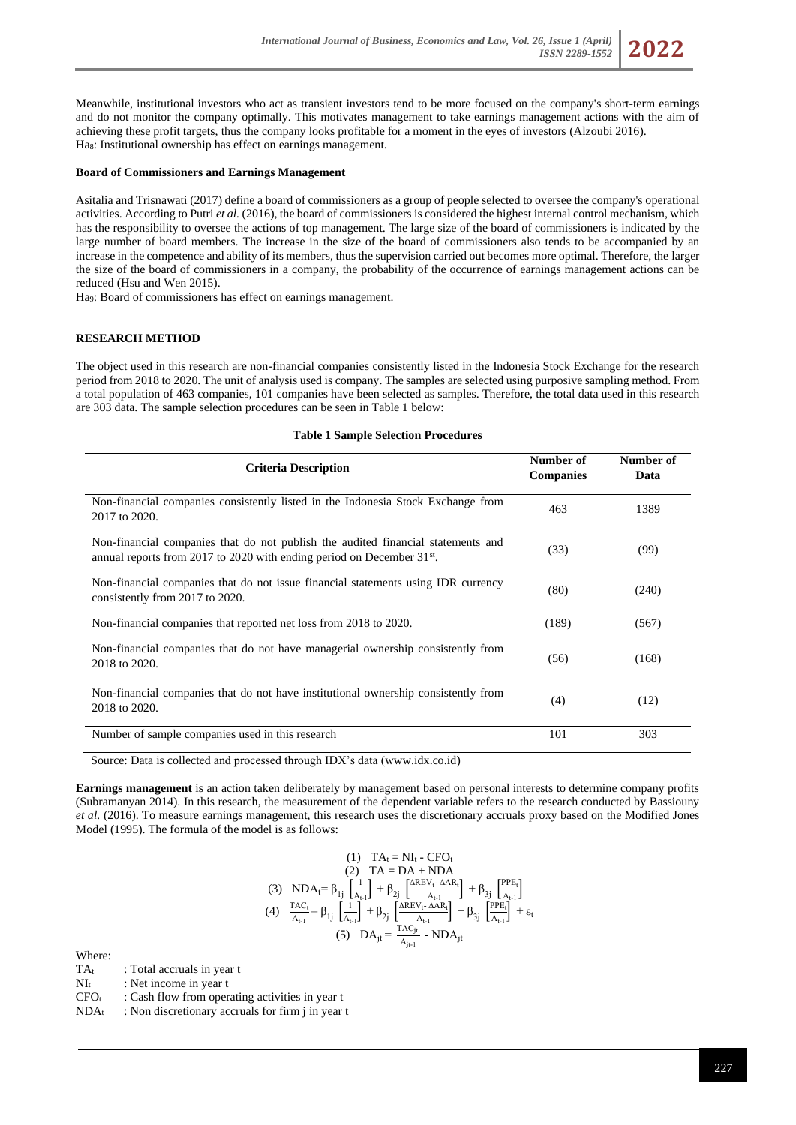Meanwhile, institutional investors who act as transient investors tend to be more focused on the company's short-term earnings and do not monitor the company optimally. This motivates management to take earnings management actions with the aim of achieving these profit targets, thus the company looks profitable for a moment in the eyes of investors (Alzoubi 2016). Ha<sub>8</sub>: Institutional ownership has effect on earnings management.

#### **Board of Commissioners and Earnings Management**

Asitalia and Trisnawati (2017) define a board of commissioners as a group of people selected to oversee the company's operational activities. According to Putri *et al.* (2016), the board of commissioners is considered the highest internal control mechanism, which has the responsibility to oversee the actions of top management. The large size of the board of commissioners is indicated by the large number of board members. The increase in the size of the board of commissioners also tends to be accompanied by an increase in the competence and ability of its members, thus the supervision carried out becomes more optimal. Therefore, the larger the size of the board of commissioners in a company, the probability of the occurrence of earnings management actions can be reduced (Hsu and Wen 2015).

Ha9: Board of commissioners has effect on earnings management.

## **RESEARCH METHOD**

The object used in this research are non-financial companies consistently listed in the Indonesia Stock Exchange for the research period from 2018 to 2020. The unit of analysis used is company. The samples are selected using purposive sampling method. From a total population of 463 companies, 101 companies have been selected as samples. Therefore, the total data used in this research are 303 data. The sample selection procedures can be seen in Table 1 below:

#### **Table 1 Sample Selection Procedures**

| <b>Criteria Description</b>                                                                                                                                     | Number of<br><b>Companies</b> | Number of<br>Data |
|-----------------------------------------------------------------------------------------------------------------------------------------------------------------|-------------------------------|-------------------|
| Non-financial companies consistently listed in the Indonesia Stock Exchange from<br>2017 to 2020.                                                               | 463                           | 1389              |
| Non-financial companies that do not publish the audited financial statements and<br>annual reports from 2017 to 2020 with ending period on December $31^{st}$ . | (33)                          | (99)              |
| Non-financial companies that do not issue financial statements using IDR currency<br>consistently from 2017 to 2020.                                            | (80)                          | (240)             |
| Non-financial companies that reported net loss from 2018 to 2020.                                                                                               | (189)                         | (567)             |
| Non-financial companies that do not have managerial ownership consistently from<br>2018 to 2020.                                                                | (56)                          | (168)             |
| Non-financial companies that do not have institutional ownership consistently from<br>2018 to 2020.                                                             | (4)                           | (12)              |
| Number of sample companies used in this research                                                                                                                | 101                           | 303               |

Source: Data is collected and processed through IDX's data [\(www.idx.co.id\)](http://www.idx.co.id/)

**Earnings management** is an action taken deliberately by management based on personal interests to determine company profits (Subramanyan 2014). In this research, the measurement of the dependent variable refers to the research conducted by Bassiouny *et al.* (2016). To measure earnings management, this research uses the discretionary accruals proxy based on the Modified Jones Model (1995). The formula of the model is as follows:

$$
\begin{array}{c} (1) \quad TA_t = NI_t \cdot CFO_t \\ (2) \quad TA = DA + NDA \\ (3) \quad NDA_t = \beta_{1j} \left[\frac{1}{A_{t-1}}\right] + \beta_{2j} \left[\frac{AREV_t \cdot \Delta AR_t}{A_{t-1}}\right] + \beta_{3j} \left[\frac{PPE_t}{A_{t-1}}\right] \\ (4) \quad \frac{TAC_t}{A_{t-1}} = \beta_{1j} \left[\frac{1}{A_{t-1}}\right] + \beta_{2j} \left[\frac{AREV_t \cdot \Delta AR_t}{A_{t-1}}\right] + \beta_{3j} \left[\frac{PPE_t}{A_{t-1}}\right] + \epsilon_t \\ (5) \quad DA_{jt} = \frac{TAC_{jt}}{A_{j_{t-1}}} - NDA_{jt} \end{array}
$$

Where:

 $TA_t$  : Total accruals in year t

 $NI_t$  : Net income in year t

 $CFO_t$  : Cash flow from operating activities in year t

 $NDA_t$ : Non discretionary accruals for firm j in year t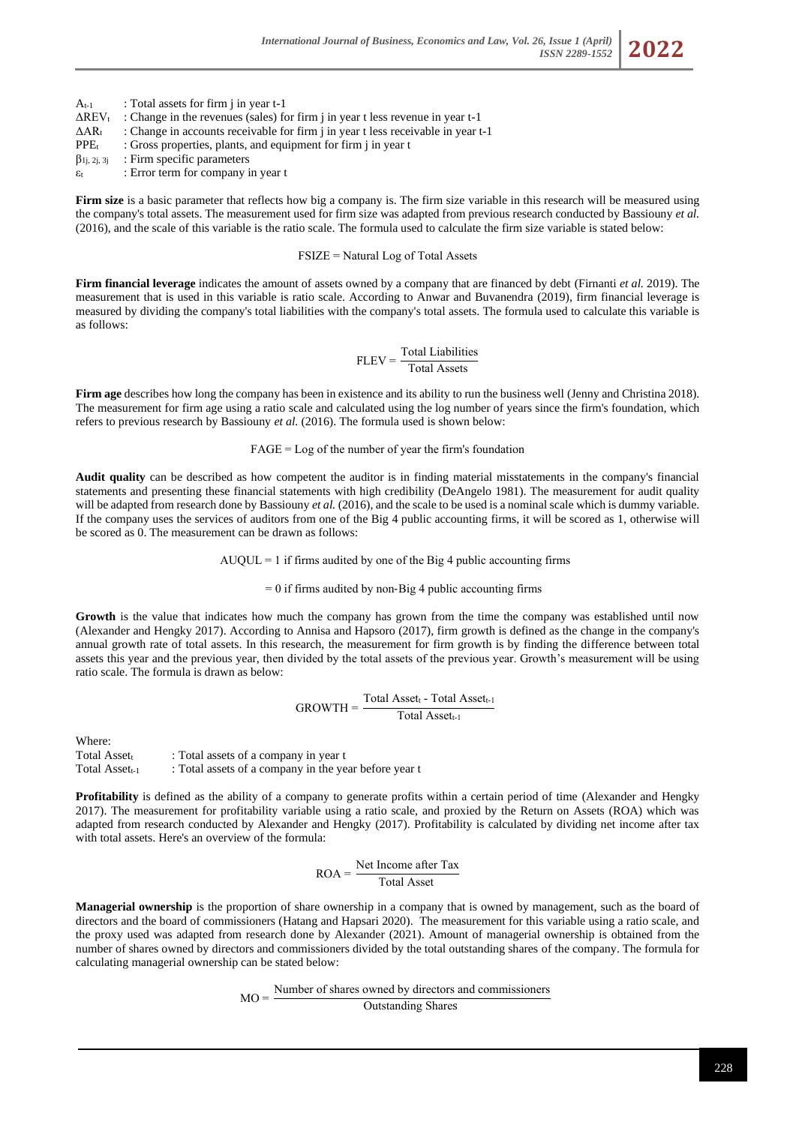$A_{t-1}$  : Total assets for firm j in year  $t-1$  $\Delta$ REV<sub>t</sub> : Change in the revenues (sales) for firm j in year t less revenue in year t-1  $\Delta AR_t$ : Change in accounts receivable for firm j in year t less receivable in year t-1  $PPE<sub>t</sub>$  : Gross properties, plants, and equipment for firm j in year t  $\beta_{1j, 2j, 3j}$  : Firm specific parameters

ε<sup>t</sup> : Error term for company in year t

**Firm size** is a basic parameter that reflects how big a company is. The firm size variable in this research will be measured using the company's total assets. The measurement used for firm size was adapted from previous research conducted by Bassiouny *et al.* (2016), and the scale of this variable is the ratio scale. The formula used to calculate the firm size variable is stated below:

### FSIZE = Natural Log of Total Assets

**Firm financial leverage** indicates the amount of assets owned by a company that are financed by debt (Firnanti *et al.* 2019). The measurement that is used in this variable is ratio scale. According to Anwar and Buvanendra (2019), firm financial leverage is measured by dividing the company's total liabilities with the company's total assets. The formula used to calculate this variable is as follows:

$$
FLEV = \frac{Total Liabilities}{Total Assets}
$$

**Firm age** describes how long the company has been in existence and its ability to run the business well (Jenny and Christina 2018). The measurement for firm age using a ratio scale and calculated using the log number of years since the firm's foundation, which refers to previous research by Bassiouny *et al.* (2016). The formula used is shown below:

## $FAGE = Log of the number of year the firm's foundation$

**Audit quality** can be described as how competent the auditor is in finding material misstatements in the company's financial statements and presenting these financial statements with high credibility (DeAngelo 1981). The measurement for audit quality will be adapted from research done by Bassiouny *et al.* (2016), and the scale to be used is a nominal scale which is dummy variable. If the company uses the services of auditors from one of the Big 4 public accounting firms, it will be scored as 1, otherwise will be scored as 0. The measurement can be drawn as follows:

 $AUQUL = 1$  if firms audited by one of the Big 4 public accounting firms

 $= 0$  if firms audited by non-Big 4 public accounting firms

**Growth** is the value that indicates how much the company has grown from the time the company was established until now (Alexander and Hengky 2017). According to Annisa and Hapsoro (2017), firm growth is defined as the change in the company's annual growth rate of total assets. In this research, the measurement for firm growth is by finding the difference between total assets this year and the previous year, then divided by the total assets of the previous year. Growth's measurement will be using ratio scale. The formula is drawn as below:

$$
GROWTH = \frac{Total Asset_t - Total Asset_{t-1}}{Total Asset_{t-1}}
$$

Where:

Total Asset $\cdot$  : Total assets of a company in year t Total Asset<sub>t-1</sub> : Total assets of a company in the year before year t

**Profitability** is defined as the ability of a company to generate profits within a certain period of time (Alexander and Hengky 2017). The measurement for profitability variable using a ratio scale, and proxied by the Return on Assets (ROA) which was adapted from research conducted by Alexander and Hengky (2017). Profitability is calculated by dividing net income after tax with total assets. Here's an overview of the formula:

$$
ROA = \frac{Net Income after TaxTotal Asset}
$$

**Managerial ownership** is the proportion of share ownership in a company that is owned by management, such as the board of directors and the board of commissioners (Hatang and Hapsari 2020). The measurement for this variable using a ratio scale, and the proxy used was adapted from research done by Alexander (2021). Amount of managerial ownership is obtained from the number of shares owned by directors and commissioners divided by the total outstanding shares of the company. The formula for calculating managerial ownership can be stated below:

> $MO =$ Number of shares owned by directors and commissioners Outstanding Shares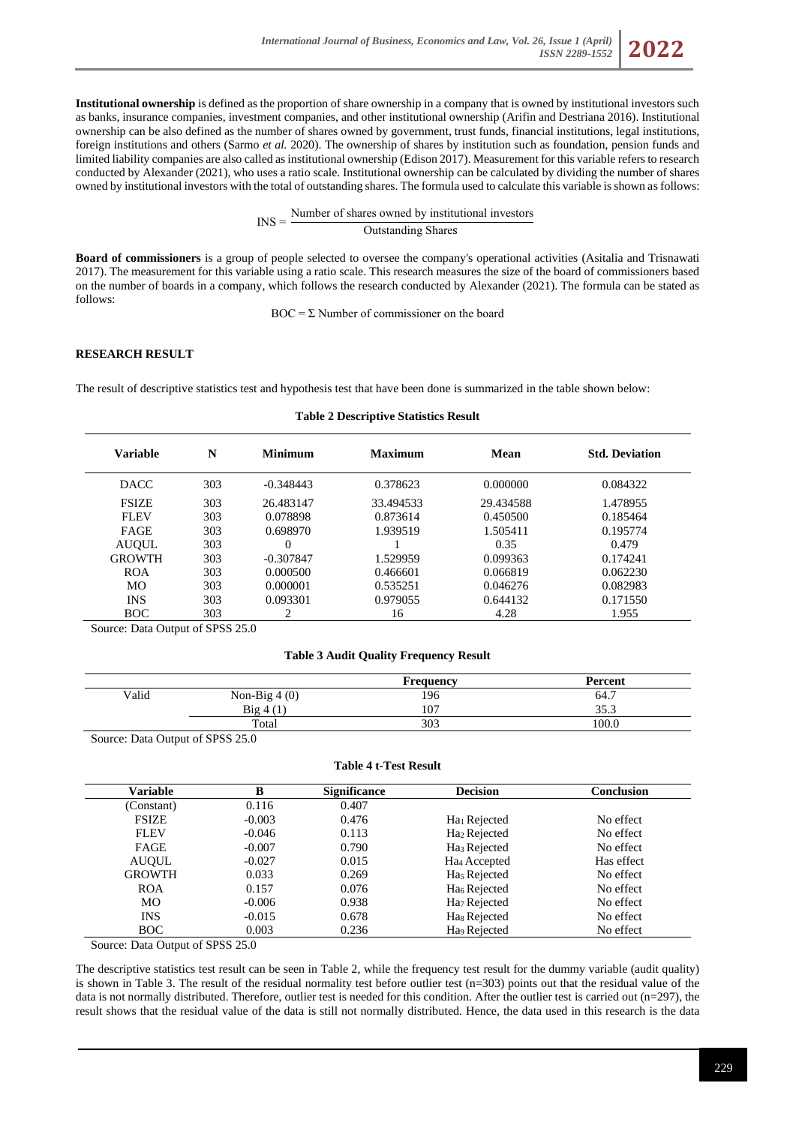**Institutional ownership** is defined as the proportion of share ownership in a company that is owned by institutional investors such as banks, insurance companies, investment companies, and other institutional ownership (Arifin and Destriana 2016). Institutional ownership can be also defined as the number of shares owned by government, trust funds, financial institutions, legal institutions, foreign institutions and others (Sarmo *et al.* 2020). The ownership of shares by institution such as foundation, pension funds and limited liability companies are also called as institutional ownership (Edison 2017). Measurement for this variable refers to research conducted by Alexander (2021), who uses a ratio scale. Institutional ownership can be calculated by dividing the number of shares owned by institutional investors with the total of outstanding shares. The formula used to calculate this variable is shown as follows:

> $INS =$ Number of shares owned by institutional investors Outstanding Shares

**Board of commissioners** is a group of people selected to oversee the company's operational activities (Asitalia and Trisnawati 2017). The measurement for this variable using a ratio scale. This research measures the size of the board of commissioners based on the number of boards in a company, which follows the research conducted by Alexander (2021). The formula can be stated as follows:

 $BOC = \Sigma$  Number of commissioner on the board

## **RESEARCH RESULT**

The result of descriptive statistics test and hypothesis test that have been done is summarized in the table shown below:

# **Variable N Minimum Maximum Mean Std. Deviation** DACC 303 -0.348443 0.378623 0.000000 0.084322 FSIZE 303 26.483147 33.494533 29.434588 1.478955 FLEV 303 0.078898 0.873614 0.450500 0.185464 FAGE 303 0.698970 1.939519 1.505411 0.195774 AUQUL 303 0 1 0.35 0.479 GROWTH 303 -0.307847 1.529959 0.099363 0.174241 ROA 303 0.000500 0.466601 0.066819 0.062230 MO 303 0.000001 0.535251 0.046276 0.082983 INS 303 0.093301 0.979055 0.644132 0.171550 BOC 303 2 16 4.28 1.955

**Table 2 Descriptive Statistics Result**

Source: Data Output of SPSS 25.0

## **Table 3 Audit Quality Frequency Result**

|       |                | <b>Frequency</b> | Percent   |
|-------|----------------|------------------|-----------|
| Valid | Non-Big $4(0)$ | 196              | 64.7<br>- |
|       | Big 4          | 107              | 35.3      |
|       | Total          | 303              | 100.0     |

Source: Data Output of SPSS 25.0

## **Table 4 t-Test Result**

| Variable      | B        | <b>Significance</b> | <b>Decision</b>          | Conclusion |
|---------------|----------|---------------------|--------------------------|------------|
| (Constant)    | 0.116    | 0.407               |                          |            |
| <b>FSIZE</b>  | $-0.003$ | 0.476               | Ha <sub>1</sub> Rejected | No effect  |
| <b>FLEV</b>   | $-0.046$ | 0.113               | Ha <sub>2</sub> Rejected | No effect  |
| FAGE          | $-0.007$ | 0.790               | Ha <sub>3</sub> Rejected | No effect  |
| <b>AUQUL</b>  | $-0.027$ | 0.015               | Ha <sub>4</sub> Accepted | Has effect |
| <b>GROWTH</b> | 0.033    | 0.269               | Ha <sub>5</sub> Rejected | No effect  |
| <b>ROA</b>    | 0.157    | 0.076               | Ha <sub>6</sub> Rejected | No effect  |
| MO            | $-0.006$ | 0.938               | Ha <sub>7</sub> Rejected | No effect  |
| <b>INS</b>    | $-0.015$ | 0.678               | Has Rejected             | No effect  |
| <b>BOC</b>    | 0.003    | 0.236               | Ha <sub>9</sub> Rejected | No effect  |

Source: Data Output of SPSS 25.0

The descriptive statistics test result can be seen in Table 2, while the frequency test result for the dummy variable (audit quality) is shown in Table 3. The result of the residual normality test before outlier test (n=303) points out that the residual value of the data is not normally distributed. Therefore, outlier test is needed for this condition. After the outlier test is carried out (n=297), the result shows that the residual value of the data is still not normally distributed. Hence, the data used in this research is the data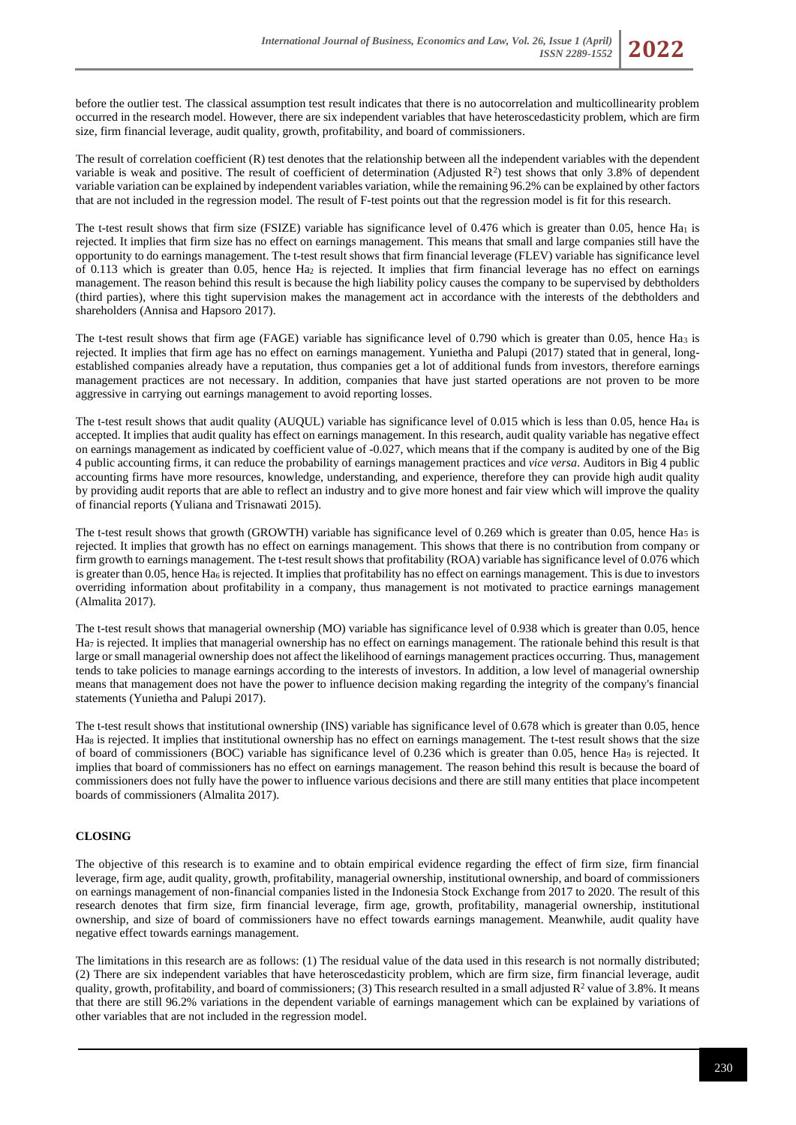before the outlier test. The classical assumption test result indicates that there is no autocorrelation and multicollinearity problem occurred in the research model. However, there are six independent variables that have heteroscedasticity problem, which are firm size, firm financial leverage, audit quality, growth, profitability, and board of commissioners.

The result of correlation coefficient (R) test denotes that the relationship between all the independent variables with the dependent variable is weak and positive. The result of coefficient of determination (Adjusted  $\mathbb{R}^2$ ) test shows that only 3.8% of dependent variable variation can be explained by independent variables variation, while the remaining 96.2% can be explained by other factors that are not included in the regression model. The result of F-test points out that the regression model is fit for this research.

The t-test result shows that firm size (FSIZE) variable has significance level of 0.476 which is greater than 0.05, hence Ha<sub>1</sub> is rejected. It implies that firm size has no effect on earnings management. This means that small and large companies still have the opportunity to do earnings management. The t-test result shows that firm financial leverage (FLEV) variable has significance level of 0.113 which is greater than 0.05, hence Ha<sup>2</sup> is rejected. It implies that firm financial leverage has no effect on earnings management. The reason behind this result is because the high liability policy causes the company to be supervised by debtholders (third parties), where this tight supervision makes the management act in accordance with the interests of the debtholders and shareholders (Annisa and Hapsoro 2017).

The t-test result shows that firm age (FAGE) variable has significance level of 0.790 which is greater than 0.05, hence Ha<sup>3</sup> is rejected. It implies that firm age has no effect on earnings management. Yunietha and Palupi (2017) stated that in general, longestablished companies already have a reputation, thus companies get a lot of additional funds from investors, therefore earnings management practices are not necessary. In addition, companies that have just started operations are not proven to be more aggressive in carrying out earnings management to avoid reporting losses.

The t-test result shows that audit quality (AUQUL) variable has significance level of 0.015 which is less than 0.05, hence Ha<sup>4</sup> is accepted. It implies that audit quality has effect on earnings management. In this research, audit quality variable has negative effect on earnings management as indicated by coefficient value of -0.027, which means that if the company is audited by one of the Big 4 public accounting firms, it can reduce the probability of earnings management practices and *vice versa*. Auditors in Big 4 public accounting firms have more resources, knowledge, understanding, and experience, therefore they can provide high audit quality by providing audit reports that are able to reflect an industry and to give more honest and fair view which will improve the quality of financial reports (Yuliana and Trisnawati 2015).

The t-test result shows that growth (GROWTH) variable has significance level of 0.269 which is greater than 0.05, hence Ha<sub>5</sub> is rejected. It implies that growth has no effect on earnings management. This shows that there is no contribution from company or firm growth to earnings management. The t-test result shows that profitability (ROA) variable has significance level of 0.076 which is greater than 0.05, hence  $Ha_6$  is rejected. It implies that profitability has no effect on earnings management. This is due to investors overriding information about profitability in a company, thus management is not motivated to practice earnings management (Almalita 2017).

The t-test result shows that managerial ownership (MO) variable has significance level of 0.938 which is greater than 0.05, hence Ha<sub>7</sub> is rejected. It implies that managerial ownership has no effect on earnings management. The rationale behind this result is that large or small managerial ownership does not affect the likelihood of earnings management practices occurring. Thus, management tends to take policies to manage earnings according to the interests of investors. In addition, a low level of managerial ownership means that management does not have the power to influence decision making regarding the integrity of the company's financial statements (Yunietha and Palupi 2017).

The t-test result shows that institutional ownership (INS) variable has significance level of 0.678 which is greater than 0.05, hence Has is rejected. It implies that institutional ownership has no effect on earnings management. The t-test result shows that the size of board of commissioners (BOC) variable has significance level of 0.236 which is greater than 0.05, hence Ha<sup>9</sup> is rejected. It implies that board of commissioners has no effect on earnings management. The reason behind this result is because the board of commissioners does not fully have the power to influence various decisions and there are still many entities that place incompetent boards of commissioners (Almalita 2017).

# **CLOSING**

The objective of this research is to examine and to obtain empirical evidence regarding the effect of firm size, firm financial leverage, firm age, audit quality, growth, profitability, managerial ownership, institutional ownership, and board of commissioners on earnings management of non-financial companies listed in the Indonesia Stock Exchange from 2017 to 2020. The result of this research denotes that firm size, firm financial leverage, firm age, growth, profitability, managerial ownership, institutional ownership, and size of board of commissioners have no effect towards earnings management. Meanwhile, audit quality have negative effect towards earnings management.

The limitations in this research are as follows: (1) The residual value of the data used in this research is not normally distributed; (2) There are six independent variables that have heteroscedasticity problem, which are firm size, firm financial leverage, audit quality, growth, profitability, and board of commissioners; (3) This research resulted in a small adjusted  $R^2$  value of 3.8%. It means that there are still 96.2% variations in the dependent variable of earnings management which can be explained by variations of other variables that are not included in the regression model.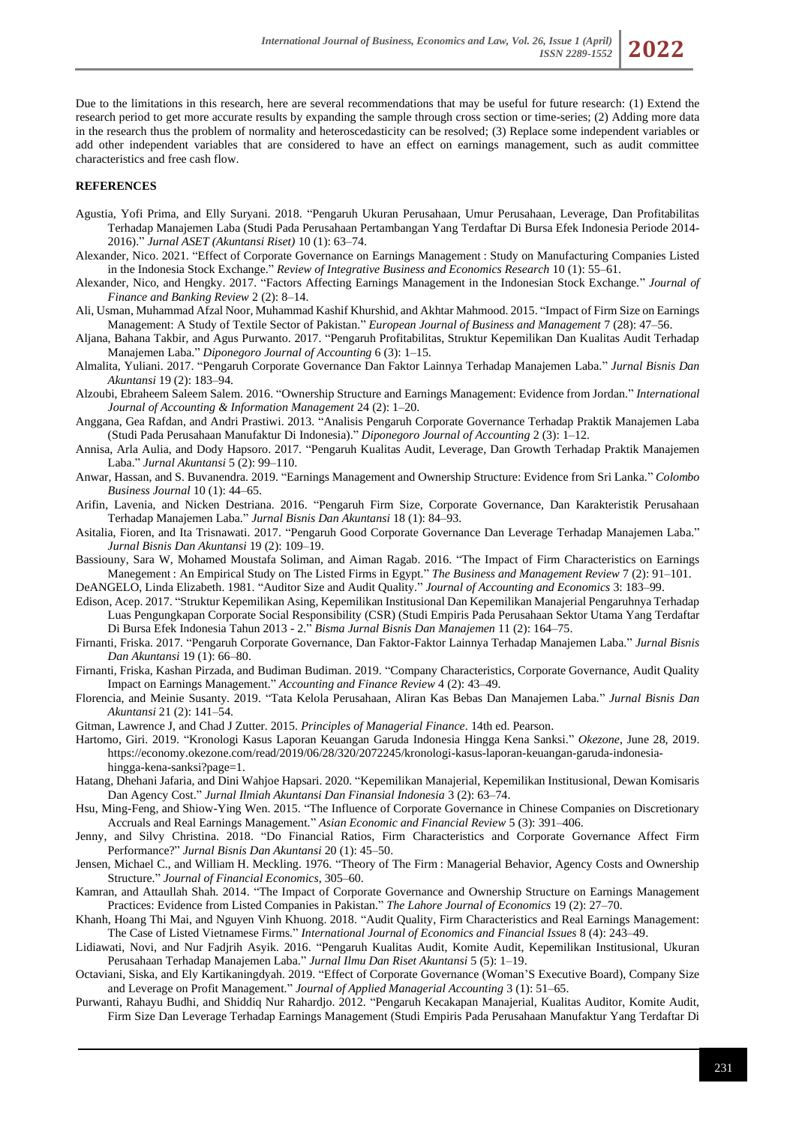*ISSN 2289-1552* **2022**



#### **REFERENCES**

- Agustia, Yofi Prima, and Elly Suryani. 2018. "Pengaruh Ukuran Perusahaan, Umur Perusahaan, Leverage, Dan Profitabilitas Terhadap Manajemen Laba (Studi Pada Perusahaan Pertambangan Yang Terdaftar Di Bursa Efek Indonesia Periode 2014- 2016)." *Jurnal ASET (Akuntansi Riset)* 10 (1): 63–74.
- Alexander, Nico. 2021. "Effect of Corporate Governance on Earnings Management : Study on Manufacturing Companies Listed in the Indonesia Stock Exchange." *Review of Integrative Business and Economics Research* 10 (1): 55–61.
- Alexander, Nico, and Hengky. 2017. "Factors Affecting Earnings Management in the Indonesian Stock Exchange." *Journal of Finance and Banking Review* 2 (2): 8–14.
- Ali, Usman, Muhammad Afzal Noor, Muhammad Kashif Khurshid, and Akhtar Mahmood. 2015. "Impact of Firm Size on Earnings Management: A Study of Textile Sector of Pakistan." *European Journal of Business and Management* 7 (28): 47–56.

Aljana, Bahana Takbir, and Agus Purwanto. 2017. "Pengaruh Profitabilitas, Struktur Kepemilikan Dan Kualitas Audit Terhadap Manajemen Laba." *Diponegoro Journal of Accounting* 6 (3): 1–15.

- Almalita, Yuliani. 2017. "Pengaruh Corporate Governance Dan Faktor Lainnya Terhadap Manajemen Laba." *Jurnal Bisnis Dan Akuntansi* 19 (2): 183–94.
- Alzoubi, Ebraheem Saleem Salem. 2016. "Ownership Structure and Earnings Management: Evidence from Jordan." *International Journal of Accounting & Information Management* 24 (2): 1–20.
- Anggana, Gea Rafdan, and Andri Prastiwi. 2013. "Analisis Pengaruh Corporate Governance Terhadap Praktik Manajemen Laba (Studi Pada Perusahaan Manufaktur Di Indonesia)." *Diponegoro Journal of Accounting* 2 (3): 1–12.
- Annisa, Arla Aulia, and Dody Hapsoro. 2017. "Pengaruh Kualitas Audit, Leverage, Dan Growth Terhadap Praktik Manajemen Laba." *Jurnal Akuntansi* 5 (2): 99–110.
- Anwar, Hassan, and S. Buvanendra. 2019. "Earnings Management and Ownership Structure: Evidence from Sri Lanka." *Colombo Business Journal* 10 (1): 44–65.
- Arifin, Lavenia, and Nicken Destriana. 2016. "Pengaruh Firm Size, Corporate Governance, Dan Karakteristik Perusahaan Terhadap Manajemen Laba." *Jurnal Bisnis Dan Akuntansi* 18 (1): 84–93.
- Asitalia, Fioren, and Ita Trisnawati. 2017. "Pengaruh Good Corporate Governance Dan Leverage Terhadap Manajemen Laba." *Jurnal Bisnis Dan Akuntansi* 19 (2): 109–19.
- Bassiouny, Sara W, Mohamed Moustafa Soliman, and Aiman Ragab. 2016. "The Impact of Firm Characteristics on Earnings Manegement : An Empirical Study on The Listed Firms in Egypt." *The Business and Management Review* 7 (2): 91–101.
- DeANGELO, Linda Elizabeth. 1981. "Auditor Size and Audit Quality." *Journal of Accounting and Economics* 3: 183–99.
- Edison, Acep. 2017. "Struktur Kepemilikan Asing, Kepemilikan Institusional Dan Kepemilikan Manajerial Pengaruhnya Terhadap Luas Pengungkapan Corporate Social Responsibility (CSR) (Studi Empiris Pada Perusahaan Sektor Utama Yang Terdaftar Di Bursa Efek Indonesia Tahun 2013 - 2." *Bisma Jurnal Bisnis Dan Manajemen* 11 (2): 164–75.
- Firnanti, Friska. 2017. "Pengaruh Corporate Governance, Dan Faktor-Faktor Lainnya Terhadap Manajemen Laba." *Jurnal Bisnis Dan Akuntansi* 19 (1): 66–80.
- Firnanti, Friska, Kashan Pirzada, and Budiman Budiman. 2019. "Company Characteristics, Corporate Governance, Audit Quality Impact on Earnings Management." *Accounting and Finance Review* 4 (2): 43–49.
- Florencia, and Meinie Susanty. 2019. "Tata Kelola Perusahaan, Aliran Kas Bebas Dan Manajemen Laba." *Jurnal Bisnis Dan Akuntansi* 21 (2): 141–54.
- Gitman, Lawrence J, and Chad J Zutter. 2015. *Principles of Managerial Finance*. 14th ed. Pearson.
- Hartomo, Giri. 2019. "Kronologi Kasus Laporan Keuangan Garuda Indonesia Hingga Kena Sanksi." *Okezone*, June 28, 2019. https://economy.okezone.com/read/2019/06/28/320/2072245/kronologi-kasus-laporan-keuangan-garuda-indonesiahingga-kena-sanksi?page=1.
- Hatang, Dhehani Jafaria, and Dini Wahjoe Hapsari. 2020. "Kepemilikan Manajerial, Kepemilikan Institusional, Dewan Komisaris Dan Agency Cost." *Jurnal Ilmiah Akuntansi Dan Finansial Indonesia* 3 (2): 63–74.
- Hsu, Ming-Feng, and Shiow-Ying Wen. 2015. "The Influence of Corporate Governance in Chinese Companies on Discretionary Accruals and Real Earnings Management." *Asian Economic and Financial Review* 5 (3): 391–406.
- Jenny, and Silvy Christina. 2018. "Do Financial Ratios, Firm Characteristics and Corporate Governance Affect Firm Performance?" *Jurnal Bisnis Dan Akuntansi* 20 (1): 45–50.
- Jensen, Michael C., and William H. Meckling. 1976. "Theory of The Firm : Managerial Behavior, Agency Costs and Ownership Structure." *Journal of Financial Economics*, 305–60.
- Kamran, and Attaullah Shah. 2014. "The Impact of Corporate Governance and Ownership Structure on Earnings Management Practices: Evidence from Listed Companies in Pakistan." *The Lahore Journal of Economics* 19 (2): 27–70.
- Khanh, Hoang Thi Mai, and Nguyen Vinh Khuong. 2018. "Audit Quality, Firm Characteristics and Real Earnings Management: The Case of Listed Vietnamese Firms." *International Journal of Economics and Financial Issues* 8 (4): 243–49.
- Lidiawati, Novi, and Nur Fadjrih Asyik. 2016. "Pengaruh Kualitas Audit, Komite Audit, Kepemilikan Institusional, Ukuran Perusahaan Terhadap Manajemen Laba." *Jurnal Ilmu Dan Riset Akuntansi* 5 (5): 1–19.
- Octaviani, Siska, and Ely Kartikaningdyah. 2019. "Effect of Corporate Governance (Woman'S Executive Board), Company Size and Leverage on Profit Management." *Journal of Applied Managerial Accounting* 3 (1): 51–65.
- Purwanti, Rahayu Budhi, and Shiddiq Nur Rahardjo. 2012. "Pengaruh Kecakapan Manajerial, Kualitas Auditor, Komite Audit, Firm Size Dan Leverage Terhadap Earnings Management (Studi Empiris Pada Perusahaan Manufaktur Yang Terdaftar Di